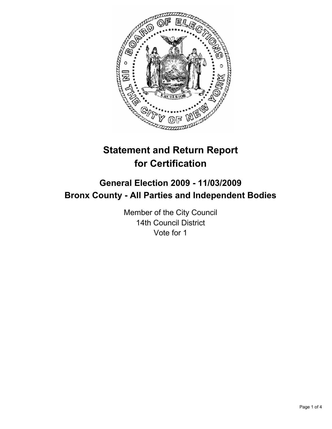

# **Statement and Return Report for Certification**

## **General Election 2009 - 11/03/2009 Bronx County - All Parties and Independent Bodies**

Member of the City Council 14th Council District Vote for 1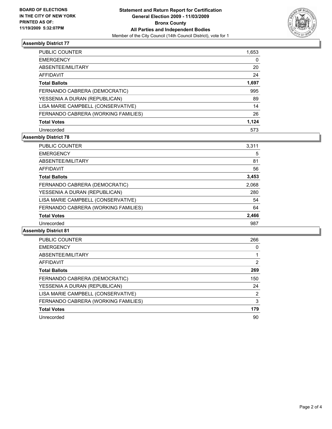

## **Assembly District 77**

| PUBLIC COUNTER                      | 1,653 |
|-------------------------------------|-------|
| <b>EMERGENCY</b>                    | 0     |
| ABSENTEE/MILITARY                   | 20    |
| AFFIDAVIT                           | 24    |
| <b>Total Ballots</b>                | 1,697 |
| FERNANDO CABRERA (DEMOCRATIC)       | 995   |
| YESSENIA A DURAN (REPUBLICAN)       | 89    |
| LISA MARIE CAMPBELL (CONSERVATIVE)  | 14    |
| FERNANDO CABRERA (WORKING FAMILIES) | 26    |
| <b>Total Votes</b>                  | 1,124 |
| Unrecorded                          | 573   |

#### **Assembly District 78**

| <b>PUBLIC COUNTER</b>               | 3,311 |
|-------------------------------------|-------|
| <b>EMERGENCY</b>                    | 5     |
| ABSENTEE/MILITARY                   | 81    |
| AFFIDAVIT                           | 56    |
| <b>Total Ballots</b>                | 3,453 |
| FERNANDO CABRERA (DEMOCRATIC)       | 2,068 |
| YESSENIA A DURAN (REPUBLICAN)       | 280   |
| LISA MARIE CAMPBELL (CONSERVATIVE)  | 54    |
| FERNANDO CABRERA (WORKING FAMILIES) | 64    |
| <b>Total Votes</b>                  | 2,466 |
| Unrecorded                          | 987   |

#### **Assembly District 81**

| <b>PUBLIC COUNTER</b>               | 266 |
|-------------------------------------|-----|
| <b>EMERGENCY</b>                    | 0   |
| ABSENTEE/MILITARY                   |     |
| AFFIDAVIT                           | 2   |
| <b>Total Ballots</b>                | 269 |
| FERNANDO CABRERA (DEMOCRATIC)       | 150 |
| YESSENIA A DURAN (REPUBLICAN)       | 24  |
| LISA MARIE CAMPBELL (CONSERVATIVE)  | 2   |
| FERNANDO CABRERA (WORKING FAMILIES) | 3   |
| <b>Total Votes</b>                  | 179 |
| Unrecorded                          | 90  |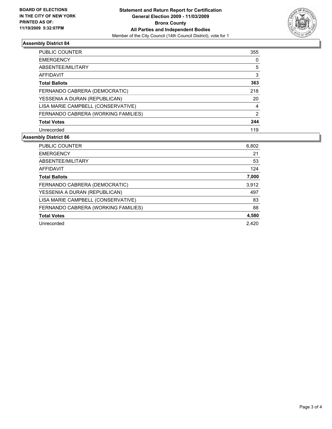

#### **Assembly District 84**

| PUBLIC COUNTER                      | 355 |
|-------------------------------------|-----|
| <b>EMERGENCY</b>                    | 0   |
| ABSENTEE/MILITARY                   | 5   |
| AFFIDAVIT                           | 3   |
| <b>Total Ballots</b>                | 363 |
| FERNANDO CABRERA (DEMOCRATIC)       | 218 |
| YESSENIA A DURAN (REPUBLICAN)       | 20  |
| LISA MARIE CAMPBELL (CONSERVATIVE)  | 4   |
| FERNANDO CABRERA (WORKING FAMILIES) | 2   |
| <b>Total Votes</b>                  | 244 |
| Unrecorded                          | 119 |

## **Assembly District 86**

| <b>PUBLIC COUNTER</b>               | 6,802 |
|-------------------------------------|-------|
| <b>EMERGENCY</b>                    | 21    |
| ABSENTEE/MILITARY                   | 53    |
| AFFIDAVIT                           | 124   |
| <b>Total Ballots</b>                | 7,000 |
| FERNANDO CABRERA (DEMOCRATIC)       | 3,912 |
| YESSENIA A DURAN (REPUBLICAN)       | 497   |
| LISA MARIE CAMPBELL (CONSERVATIVE)  | 83    |
| FERNANDO CABRERA (WORKING FAMILIES) | 88    |
| <b>Total Votes</b>                  | 4,580 |
| Unrecorded                          | 2.420 |